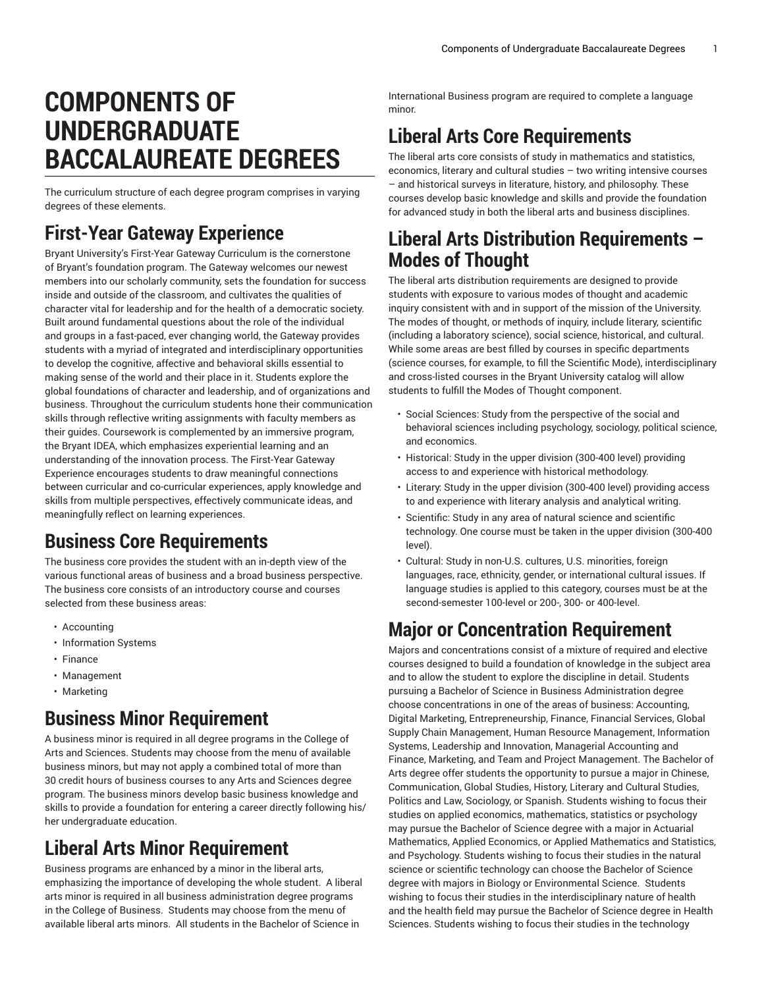# **COMPONENTS OF UNDERGRADUATE BACCALAUREATE DEGREES**

The curriculum structure of each degree program comprises in varying degrees of these elements.

### **First-Year Gateway Experience**

Bryant University's First-Year Gateway [Curriculum](https://admission.bryant.edu/sites/admission/files/2019-09/First-Year%20Gateway.pdf) is the cornerstone of Bryant's foundation program. The Gateway welcomes our newest members into our scholarly community, sets the foundation for success inside and outside of the classroom, and cultivates the qualities of character vital for leadership and for the health of a democratic society. Built around fundamental questions about the role of the individual and groups in a fast-paced, ever changing world, the Gateway provides students with a myriad of integrated and interdisciplinary opportunities to develop the cognitive, affective and behavioral skills essential to making sense of the world and their place in it. Students explore the global foundations of character and leadership, and of organizations and business. Throughout the curriculum students hone their communication skills through reflective writing assignments with faculty members as their guides. Coursework is complemented by an immersive program, the Bryant IDEA, which emphasizes experiential learning and an understanding of the innovation process. The First-Year Gateway Experience encourages students to draw meaningful connections between curricular and co-curricular experiences, apply knowledge and skills from multiple perspectives, effectively communicate ideas, and meaningfully reflect on learning experiences.

### **Business Core Requirements**

The business core provides the student with an in-depth view of the various functional areas of business and a broad business perspective. The business core consists of an introductory course and courses selected from these business areas:

- Accounting
- Information Systems
- Finance
- Management
- Marketing

### **Business Minor Requirement**

A business minor is required in all degree programs in the College of Arts and Sciences. Students may choose from the menu of available business minors, but may not apply a combined total of more than 30 credit hours of business courses to any Arts and Sciences degree program. The business minors develop basic business knowledge and skills to provide a foundation for entering a career directly following his/ her undergraduate education.

## **Liberal Arts Minor Requirement**

Business programs are enhanced by a minor in the liberal arts, emphasizing the importance of developing the whole student. A liberal arts minor is required in all business administration degree programs in the College of Business. Students may choose from the menu of available liberal arts minors. All students in the Bachelor of Science in

International Business program are required to complete a language minor.

# **Liberal Arts Core Requirements**

The liberal arts core consists of study in mathematics and statistics, economics, literary and cultural studies – two writing intensive courses – and historical surveys in literature, history, and philosophy. These courses develop basic knowledge and skills and provide the foundation for advanced study in both the liberal arts and business disciplines.

### **Liberal Arts Distribution Requirements – Modes of Thought**

The liberal arts distribution requirements are designed to provide students with exposure to various modes of thought and academic inquiry consistent with and in support of the mission of the University. The modes of thought, or methods of inquiry, include literary, scientific (including a laboratory science), social science, historical, and cultural. While some areas are best filled by courses in specific departments (science courses, for example, to fill the Scientific Mode), interdisciplinary and cross-listed courses in the Bryant University catalog will allow students to fulfill the Modes of Thought component.

- Social Sciences: Study from the perspective of the social and behavioral sciences including psychology, sociology, political science, and economics.
- Historical: Study in the upper division (300-400 level) providing access to and experience with historical methodology.
- Literary: Study in the upper division (300-400 level) providing access to and experience with literary analysis and analytical writing.
- Scientific: Study in any area of natural science and scientific technology. One course must be taken in the upper division (300-400 level).
- Cultural: Study in non-U.S. cultures, U.S. minorities, foreign languages, race, ethnicity, gender, or international cultural issues. If language studies is applied to this category, courses must be at the second-semester 100-level or 200-, 300- or 400-level.

## **Major or Concentration Requirement**

Majors and concentrations consist of a mixture of required and elective courses designed to build a foundation of knowledge in the subject area and to allow the student to explore the discipline in detail. Students pursuing a Bachelor of Science in Business Administration degree choose concentrations in one of the areas of business: Accounting, Digital Marketing, Entrepreneurship, Finance, Financial Services, Global Supply Chain Management, Human Resource Management, Information Systems, Leadership and Innovation, Managerial Accounting and Finance, Marketing, and Team and Project Management. The Bachelor of Arts degree offer students the opportunity to pursue a major in Chinese, Communication, Global Studies, History, Literary and Cultural Studies, Politics and Law, Sociology, or Spanish. Students wishing to focus their studies on applied economics, mathematics, statistics or psychology may pursue the Bachelor of Science degree with a major in Actuarial Mathematics, Applied Economics, or Applied Mathematics and Statistics, and Psychology. Students wishing to focus their studies in the natural science or scientific technology can choose the Bachelor of Science degree with majors in Biology or Environmental Science. Students wishing to focus their studies in the interdisciplinary nature of health and the health field may pursue the Bachelor of Science degree in Health Sciences. Students wishing to focus their studies in the technology